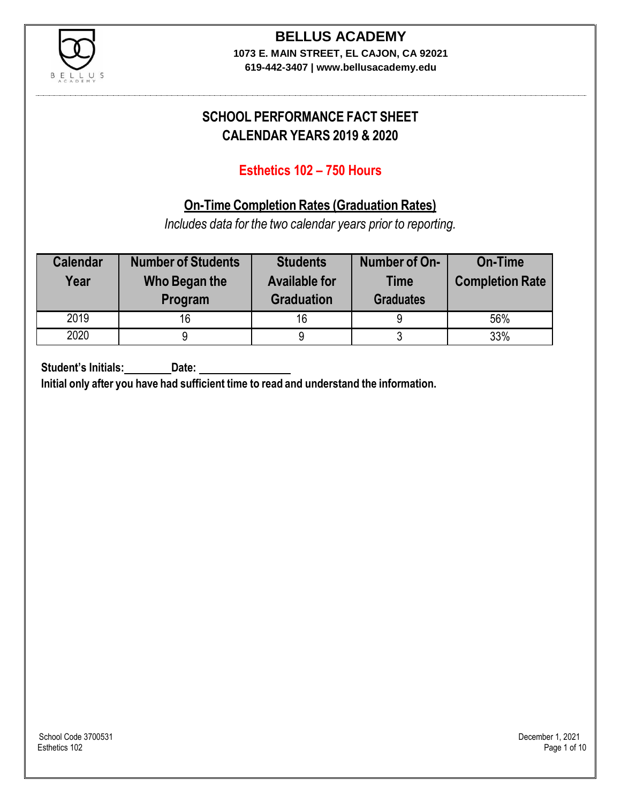

## **BELLUS ACADEMY**

**1073 E. MAIN STREET, EL CAJON, CA 92021 619-442-3407 | www.bellusacademy.edu**

### **SCHOOL PERFORMANCE FACT SHEET CALENDAR YEARS 2019 & 2020**

### **Esthetics 102 – 750 Hours**

### **On-Time Completion Rates (Graduation Rates)**

*Includes data for the two calendar years prior to reporting.*

| <b>Calendar</b><br>Year | <b>Number of Students</b><br>Who Began the<br>Program | <b>Students</b><br><b>Available for</b><br><b>Graduation</b> | Number of On-<br><b>Time</b><br><b>Graduates</b> | <b>On-Time</b><br><b>Completion Rate</b> |
|-------------------------|-------------------------------------------------------|--------------------------------------------------------------|--------------------------------------------------|------------------------------------------|
| 2019                    | 16                                                    | 16                                                           | 9                                                | 56%                                      |
| 2020                    |                                                       |                                                              | u                                                | 33%                                      |

**Student's Initials: Date:**

**Initial only after you have had sufficient time to read and understand the information.**

School Code 3700531 December 1, 2021<br>Esthetics 102 Page 1 of 10 Esthetics 102 Page 1 of 10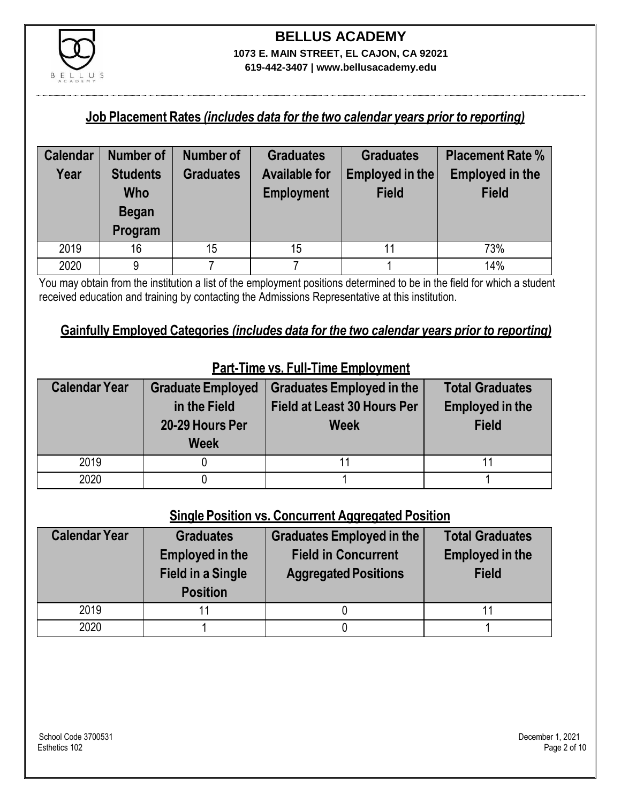

## **BELLUS ACADEMY 1073 E. MAIN STREET, EL CAJON, CA 92021**

**619-442-3407 | www.bellusacademy.edu**

#### **Job Placement Rates** *(includes data for the two calendar years prior to reporting)*

| <b>Calendar</b> | <b>Number of</b> | <b>Number of</b> | <b>Graduates</b>     | <b>Graduates</b> | <b>Placement Rate %</b> |
|-----------------|------------------|------------------|----------------------|------------------|-------------------------|
| Year            | <b>Students</b>  | <b>Graduates</b> | <b>Available for</b> | Employed in the  | <b>Employed in the</b>  |
|                 | Who              |                  | <b>Employment</b>    | <b>Field</b>     | <b>Field</b>            |
|                 | <b>Began</b>     |                  |                      |                  |                         |
|                 | Program          |                  |                      |                  |                         |
| 2019            | 16               | 15               | 15                   |                  | 73%                     |
| 2020            | 9                |                  |                      |                  | 14%                     |

You may obtain from the institution a list of the employment positions determined to be in the field for which a student received education and training by contacting the Admissions Representative at this institution.

### **Gainfully Employed Categories** *(includes data for the two calendar years prior to reporting)*

| <b>Calendar Year</b> | <b>Graduate Employed</b><br>in the Field<br>20-29 Hours Per<br><b>Week</b> | <b>Graduates Employed in the</b><br><b>Field at Least 30 Hours Per</b><br><b>Week</b> | <b>Total Graduates</b><br><b>Employed in the</b><br><b>Field</b> |
|----------------------|----------------------------------------------------------------------------|---------------------------------------------------------------------------------------|------------------------------------------------------------------|
| 2019                 |                                                                            |                                                                                       |                                                                  |
| 2020                 |                                                                            |                                                                                       |                                                                  |

### **Part-Time vs. Full-Time Employment**

#### **Single Position vs. Concurrent Aggregated Position**

| <b>Calendar Year</b> | <b>Graduates</b><br><b>Employed in the</b><br><b>Field in a Single</b><br><b>Position</b> | Graduates Employed in the<br><b>Field in Concurrent</b><br><b>Aggregated Positions</b> | <b>Total Graduates</b><br><b>Employed in the</b><br><b>Field</b> |
|----------------------|-------------------------------------------------------------------------------------------|----------------------------------------------------------------------------------------|------------------------------------------------------------------|
| 2019                 | 11                                                                                        |                                                                                        |                                                                  |
| 2020                 |                                                                                           |                                                                                        |                                                                  |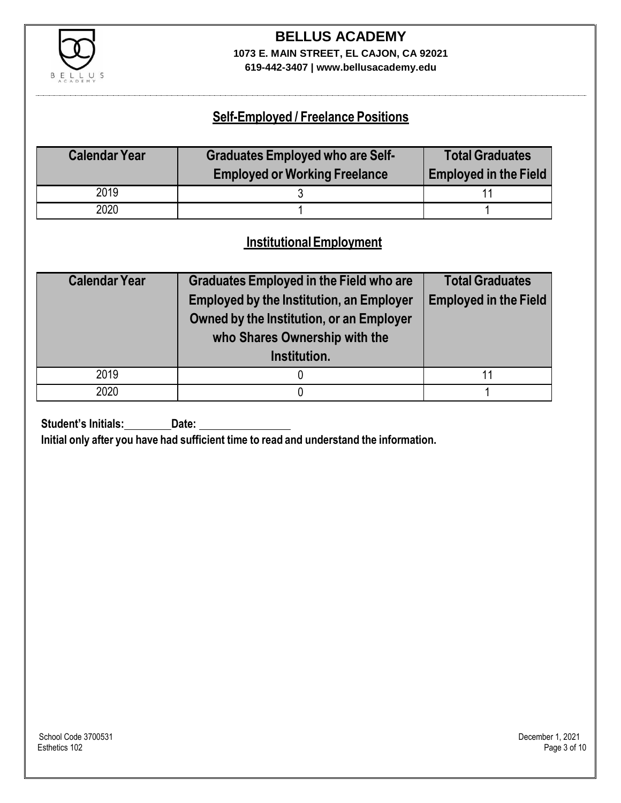

### **BELLUS ACADEMY 1073 E. MAIN STREET, EL CAJON, CA 92021**

**619-442-3407 | www.bellusacademy.edu**

### **Self-Employed / Freelance Positions**

| <b>Calendar Year</b> | <b>Graduates Employed who are Self-</b> | <b>Total Graduates</b>       |
|----------------------|-----------------------------------------|------------------------------|
|                      | <b>Employed or Working Freelance</b>    | <b>Employed in the Field</b> |
| 2019                 |                                         |                              |
| 2020                 |                                         |                              |

### **InstitutionalEmployment**

| <b>Calendar Year</b> | <b>Graduates Employed in the Field who are</b><br><b>Employed by the Institution, an Employer</b><br>Owned by the Institution, or an Employer<br>who Shares Ownership with the<br>Institution. | <b>Total Graduates</b><br><b>Employed in the Field</b> |
|----------------------|------------------------------------------------------------------------------------------------------------------------------------------------------------------------------------------------|--------------------------------------------------------|
| 2019                 |                                                                                                                                                                                                | 11                                                     |
| 2020                 |                                                                                                                                                                                                |                                                        |

**Student's Initials: Date:**

**Initial only after you have had sufficient time to read and understand the information.**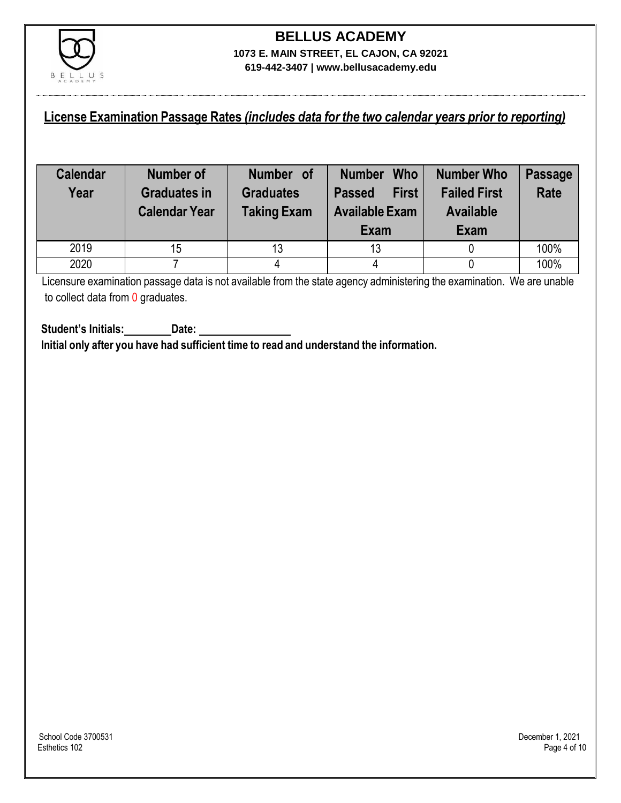

### **License Examination Passage Rates** *(includes data for the two calendar years prior to reporting)*

| <b>Calendar</b><br>Year | <b>Number of</b><br><b>Graduates in</b><br><b>Calendar Year</b> | Number of<br><b>Graduates</b><br><b>Taking Exam</b> | <b>Who</b><br><b>Number</b><br><b>First</b><br><b>Passed</b><br><b>Available Exam</b><br>Exam | <b>Number Who</b><br><b>Failed First</b><br><b>Available</b><br>Exam | <b>Passage</b><br><b>Rate</b> |
|-------------------------|-----------------------------------------------------------------|-----------------------------------------------------|-----------------------------------------------------------------------------------------------|----------------------------------------------------------------------|-------------------------------|
| 2019                    | 15                                                              | 13                                                  | 13                                                                                            |                                                                      | 100%                          |
| 2020                    |                                                                 |                                                     |                                                                                               |                                                                      | 100%                          |

Licensure examination passage data is not available from the state agency administering the examination. We are unable to collect data from 0 graduates.

**Student's Initials: Date: Initial only after you have had sufficient time to read and understand the information.**

School Code 3700531 December 1, 2021<br>Esthetics 102 Page 4 of 10 Esthetics 102 Page 4 of 10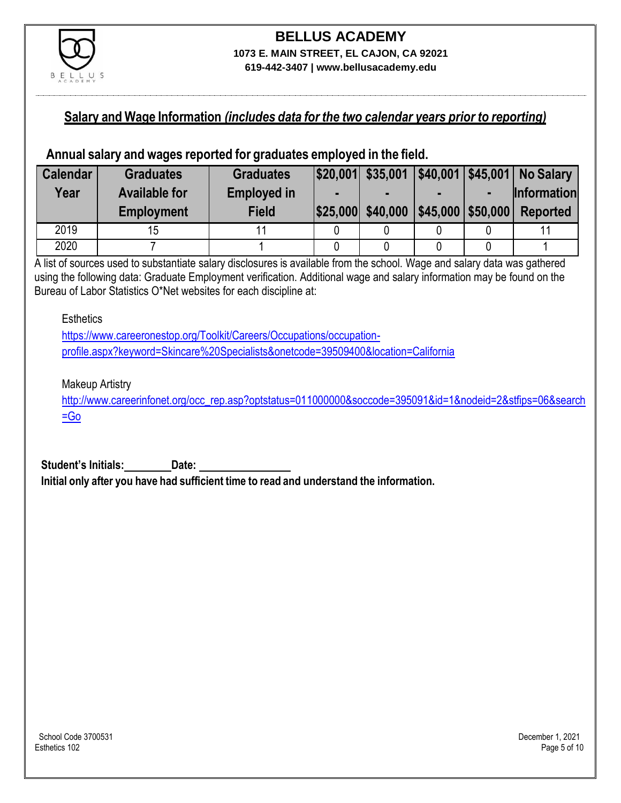

#### **Salary and Wage Information** *(includes data for the two calendar years prior to reporting)*

#### **Annual salary and wages reported for graduates employed in the field.**

| <b>Calendar</b> | <b>Graduates</b>     | <b>Graduates</b>   |                   |                      | $ $20,001 $ \$35,001 $ $40,001 $ \$45,001 No Salary |
|-----------------|----------------------|--------------------|-------------------|----------------------|-----------------------------------------------------|
| Year            | <b>Available for</b> | <b>Employed in</b> |                   |                      | <b>Information</b>                                  |
|                 | <b>Employment</b>    | <b>Field</b>       | \$25,000 \$40,000 | $ $45,000$ \\$50,000 | <b>Reported</b>                                     |
| 2019            | 15                   |                    |                   |                      |                                                     |
| 2020            |                      |                    |                   |                      |                                                     |

A list of sources used to substantiate salary disclosures is available from the school. Wage and salary data was gathered using the following data: Graduate Employment verification. Additional wage and salary information may be found on the Bureau of Labor Statistics O\*Net websites for each discipline at:

**Esthetics** 

[https://www.careeronestop.org/Toolkit/Careers/Occupations/occupation](https://www.careeronestop.org/Toolkit/Careers/Occupations/occupation-profile.aspx?keyword=Skincare%20Specialists&onetcode=39509400&location=California)[profile.aspx?keyword=Skincare%20Specialists&onetcode=39509400&location=California](https://www.careeronestop.org/Toolkit/Careers/Occupations/occupation-profile.aspx?keyword=Skincare%20Specialists&onetcode=39509400&location=California)

Makeup Artistry

[http://www.careerinfonet.org/occ\\_rep.asp?optstatus=011000000&soccode=395091&id=1&nodeid=2&stfips=06&search](http://www.careerinfonet.org/occ_rep.asp?optstatus=011000000&soccode=395091&id=1&nodeid=2&stfips=06&search=Go) [=Go](http://www.careerinfonet.org/occ_rep.asp?optstatus=011000000&soccode=395091&id=1&nodeid=2&stfips=06&search=Go)

**Student's Initials: Date: Initial only after you have had sufficient time to read and understand the information.**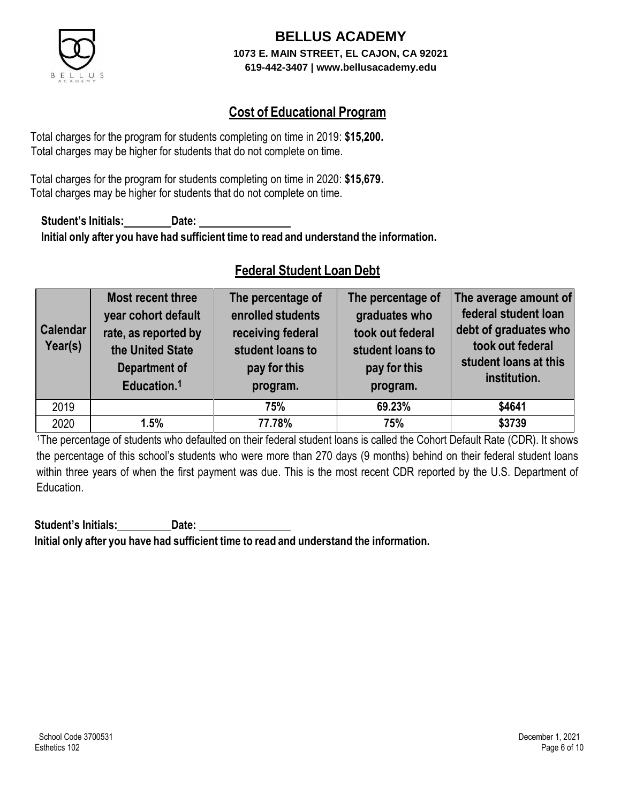

### **Cost of Educational Program**

Total charges for the program for students completing on time in 2019: **\$15,200.** Total charges may be higher for students that do not complete on time.

Total charges for the program for students completing on time in 2020: **\$15,679.** Total charges may be higher for students that do not complete on time.

**Student's Initials: Date: Initial only after you have had sufficient time to read and understand the information.**

### **Federal Student Loan Debt**

| <b>Calendar</b><br>Year(s) | Most recent three<br>year cohort default<br>rate, as reported by<br>the United State<br><b>Department of</b><br>Education. <sup>1</sup> | The percentage of<br>enrolled students<br>receiving federal<br>student loans to<br>pay for this<br>program. | The percentage of<br>graduates who<br>took out federal<br>student loans to<br>pay for this<br>program. | The average amount of<br>federal student loan<br>debt of graduates who<br>took out federal<br>student loans at this<br>institution. |
|----------------------------|-----------------------------------------------------------------------------------------------------------------------------------------|-------------------------------------------------------------------------------------------------------------|--------------------------------------------------------------------------------------------------------|-------------------------------------------------------------------------------------------------------------------------------------|
| 2019                       |                                                                                                                                         | 75%                                                                                                         | 69.23%                                                                                                 | \$4641                                                                                                                              |
| 2020                       | 1.5%                                                                                                                                    | 77.78%                                                                                                      | 75%                                                                                                    | \$3739                                                                                                                              |

<sup>1</sup>The percentage of students who defaulted on their federal student loans is called the Cohort Default Rate (CDR). It shows the percentage of this school's students who were more than 270 days (9 months) behind on their federal student loans within three years of when the first payment was due. This is the most recent CDR reported by the U.S. Department of Education.

**Student's Initials: Date: Initial only after you have had sufficient time to read and understand the information.**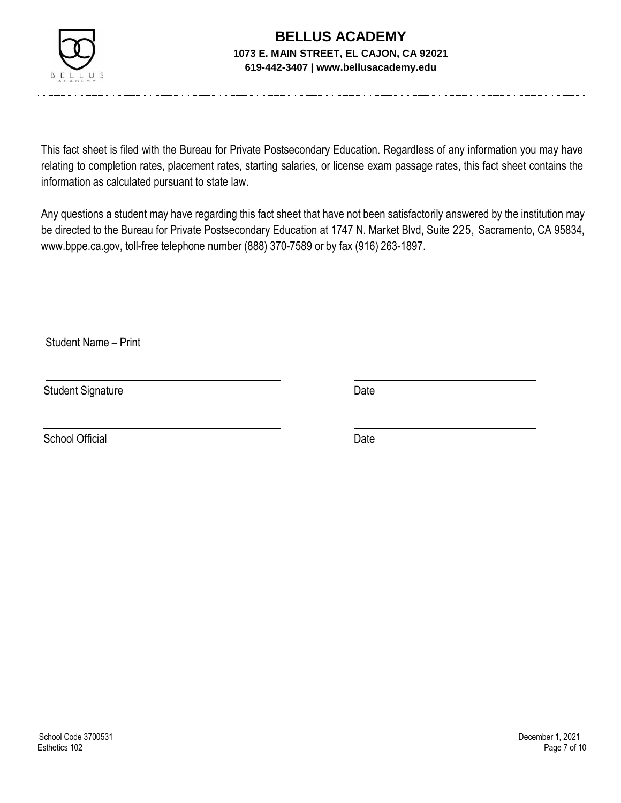

This fact sheet is filed with the Bureau for Private Postsecondary Education. Regardless of any information you may have relating to completion rates, placement rates, starting salaries, or license exam passage rates, this fact sheet contains the information as calculated pursuant to state law.

Any questions a student may have regarding this fact sheet that have not been satisfactorily answered by the institution may be directed to the Bureau for Private Postsecondary Education at 1747 N. Market Blvd, Suite 225, Sacramento, CA 95834, [www.bppe.ca.gov,](http://www.bppe.ca.gov/) toll-free telephone number (888) 370-7589 or by fax (916) 263-1897.

Student Name – Print

Student Signature Date Date

School Official Date Date Date Date Date Date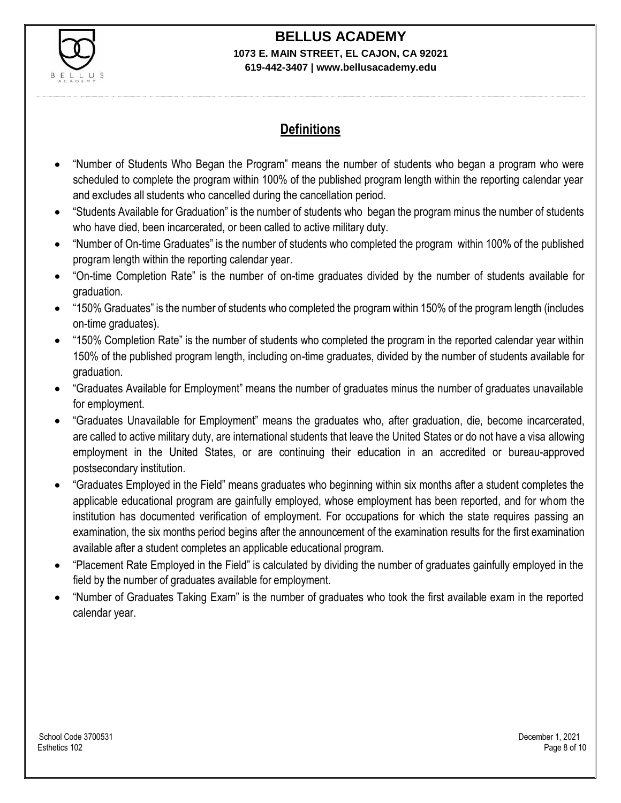

# **BELLUS ACADEMY**

#### **1073 E. MAIN STREET, EL CAJON, CA 92021 619-442-3407 | www.bellusacademy.edu**

### **Definitions**

- "Number of Students Who Began the Program" means the number of students who began a program who were scheduled to complete the program within 100% of the published program length within the reporting calendar year and excludes all students who cancelled during the cancellation period.
- "Students Available for Graduation" is the number of students who began the program minus the number of students who have died, been incarcerated, or been called to active military duty.
- "Number of On-time Graduates" is the number of students who completed the program within 100% of the published program length within the reporting calendar year.
- "On-time Completion Rate" is the number of on-time graduates divided by the number of students available for graduation.
- "150% Graduates" is the number of students who completed the program within 150% of the program length (includes on-time graduates).
- "150% Completion Rate" is the number of students who completed the program in the reported calendar year within 150% of the published program length, including on-time graduates, divided by the number of students available for graduation.
- "Graduates Available for Employment" means the number of graduates minus the number of graduates unavailable for employment.
- "Graduates Unavailable for Employment" means the graduates who, after graduation, die, become incarcerated, are called to active military duty, are international students that leave the United States or do not have a visa allowing employment in the United States, or are continuing their education in an accredited or bureau-approved postsecondary institution.
- "Graduates Employed in the Field" means graduates who beginning within six months after a student completes the applicable educational program are gainfully employed, whose employment has been reported, and for whom the institution has documented verification of employment. For occupations for which the state requires passing an examination, the six months period begins after the announcement of the examination results for the first examination available after a student completes an applicable educational program.
- "Placement Rate Employed in the Field" is calculated by dividing the number of graduates gainfully employed in the field by the number of graduates available for employment.
- "Number of Graduates Taking Exam" is the number of graduates who took the first available exam in the reported calendar year.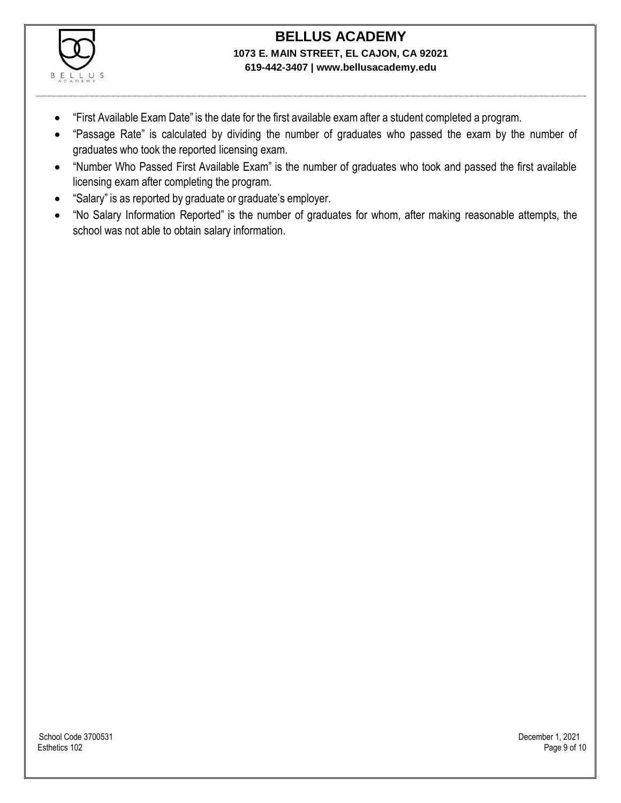

- "First Available Exam Date" is the date for the first available exam after a student completed a program.
- "Passage Rate" is calculated by dividing the number of graduates who passed the exam by the number of graduates who took the reported licensing exam.
- "Number Who Passed First Available Exam" is the number of graduates who took and passed the first available licensing exam after completing the program.
- "Salary" is as reported by graduate or graduate's employer.
- "No Salary Information Reported" is the number of graduates for whom, after making reasonable attempts, the school was not able to obtain salary information.